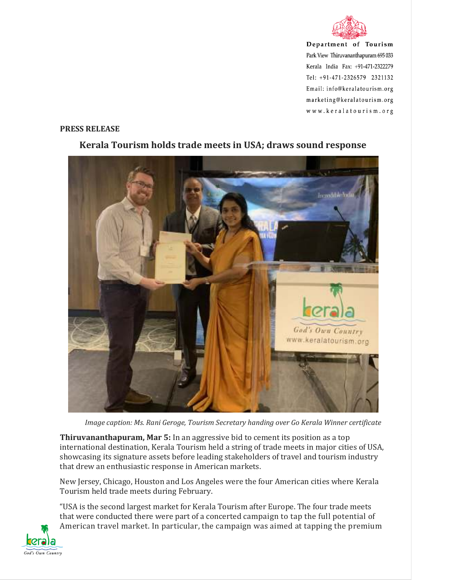

Department of Tourism Park View Thiruvananthapuram 695 033 Kerala India Fax: +91-471-2322279 Tel: +91-471-2326579 2321132 Email: info@keralatourism.org marketing@keralatourism.org www.keralatourism.org

## **PRESS RELEASE**



## **Kerala Tourism holds trade meets in USA; draws sound response**

*Image caption: Ms. Rani Geroge, Tourism Secretary handing over Go Kerala Winner certificate* 

**Thiruvananthapuram, Mar 5:** In an aggressive bid to cement its position as a top international destination, Kerala Tourism held a string of trade meets in major cities of USA, showcasing its signature assets before leading stakeholders of travel and tourism industry that drew an enthusiastic response in American markets.

New Jersey, Chicago, Houston and Los Angeles were the four American cities where Kerala Tourism held trade meets during February.

"USA is the second largest market for Kerala Tourism after Europe. The four trade meets that were conducted there were part of a concerted campaign to tap the full potential of American travel market. In particular, the campaign was aimed at tapping the premium